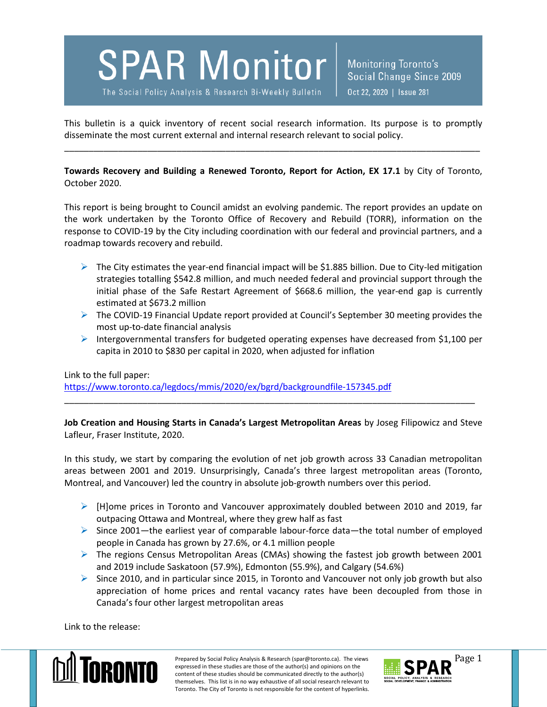## **SPAR Monitor**

The Social Policy Analysis & Research Bi-Weekly Bulletin

**Monitoring Toronto's** Social Change Since 2009 Oct 22, 2020 | Issue 281

This bulletin is a quick inventory of recent social research information. Its purpose is to promptly disseminate the most current external and internal research relevant to social policy.

\_\_\_\_\_\_\_\_\_\_\_\_\_\_\_\_\_\_\_\_\_\_\_\_\_\_\_\_\_\_\_\_\_\_\_\_\_\_\_\_\_\_\_\_\_\_\_\_\_\_\_\_\_\_\_\_\_\_\_\_\_\_\_\_\_\_\_\_\_\_\_\_\_\_\_\_\_\_\_\_\_\_\_\_\_

**Towards Recovery and Building a Renewed Toronto, Report for Action, EX 17.1** by City of Toronto, October 2020.

This report is being brought to Council amidst an evolving pandemic. The report provides an update on the work undertaken by the Toronto Office of Recovery and Rebuild (TORR), information on the response to COVID-19 by the City including coordination with our federal and provincial partners, and a roadmap towards recovery and rebuild.

- $\triangleright$  The City estimates the year-end financial impact will be \$1.885 billion. Due to City-led mitigation strategies totalling \$542.8 million, and much needed federal and provincial support through the initial phase of the Safe Restart Agreement of \$668.6 million, the year-end gap is currently estimated at \$673.2 million
- $\triangleright$  The COVID-19 Financial Update report provided at Council's September 30 meeting provides the most up-to-date financial analysis
- Intergovernmental transfers for budgeted operating expenses have decreased from \$1,100 per capita in 2010 to \$830 per capital in 2020, when adjusted for inflation

Link to the full paper:

<https://www.toronto.ca/legdocs/mmis/2020/ex/bgrd/backgroundfile-157345.pdf>

**Job Creation and Housing Starts in Canada's Largest Metropolitan Areas** by Joseg Filipowicz and Steve Lafleur, Fraser Institute, 2020.

\_\_\_\_\_\_\_\_\_\_\_\_\_\_\_\_\_\_\_\_\_\_\_\_\_\_\_\_\_\_\_\_\_\_\_\_\_\_\_\_\_\_\_\_\_\_\_\_\_\_\_\_\_\_\_\_\_\_\_\_\_\_\_\_\_\_\_\_\_\_\_\_\_\_\_\_\_\_\_\_\_\_\_\_

In this study, we start by comparing the evolution of net job growth across 33 Canadian metropolitan areas between 2001 and 2019. Unsurprisingly, Canada's three largest metropolitan areas (Toronto, Montreal, and Vancouver) led the country in absolute job-growth numbers over this period.

- $\triangleright$  [H]ome prices in Toronto and Vancouver approximately doubled between 2010 and 2019, far outpacing Ottawa and Montreal, where they grew half as fast
- $\triangleright$  Since 2001—the earliest year of comparable labour-force data—the total number of employed people in Canada has grown by 27.6%, or 4.1 million people
- $\triangleright$  The regions Census Metropolitan Areas (CMAs) showing the fastest job growth between 2001 and 2019 include Saskatoon (57.9%), Edmonton (55.9%), and Calgary (54.6%)
- $\triangleright$  Since 2010, and in particular since 2015, in Toronto and Vancouver not only job growth but also appreciation of home prices and rental vacancy rates have been decoupled from those in Canada's four other largest metropolitan areas

Link to the release:



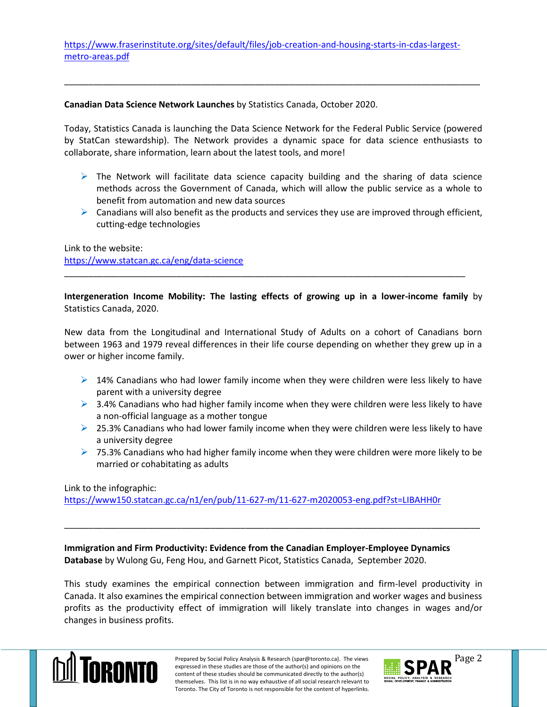[https://www.fraserinstitute.org/sites/default/files/job-creation-and-housing-starts-in-cdas-largest](https://www.fraserinstitute.org/sites/default/files/job-creation-and-housing-starts-in-cdas-largest-metro-areas.pdf)[metro-areas.pdf](https://www.fraserinstitute.org/sites/default/files/job-creation-and-housing-starts-in-cdas-largest-metro-areas.pdf)

## **Canadian Data Science Network Launches** by Statistics Canada, October 2020.

Today, Statistics Canada is launching the Data Science Network for the Federal Public Service (powered by StatCan stewardship). The Network provides a dynamic space for data science enthusiasts to collaborate, share information, learn about the latest tools, and more!

\_\_\_\_\_\_\_\_\_\_\_\_\_\_\_\_\_\_\_\_\_\_\_\_\_\_\_\_\_\_\_\_\_\_\_\_\_\_\_\_\_\_\_\_\_\_\_\_\_\_\_\_\_\_\_\_\_\_\_\_\_\_\_\_\_\_\_\_\_\_\_\_\_\_\_\_\_\_\_\_\_\_\_\_\_

- $\triangleright$  The Network will facilitate data science capacity building and the sharing of data science methods across the Government of Canada, which will allow the public service as a whole to benefit from automation and new data sources
- $\triangleright$  Canadians will also benefit as the products and services they use are improved through efficient, cutting-edge technologies

Link to the website: <https://www.statcan.gc.ca/eng/data-science>

**Intergeneration Income Mobility: The lasting effects of growing up in a lower-income family** by Statistics Canada, 2020.

\_\_\_\_\_\_\_\_\_\_\_\_\_\_\_\_\_\_\_\_\_\_\_\_\_\_\_\_\_\_\_\_\_\_\_\_\_\_\_\_\_\_\_\_\_\_\_\_\_\_\_\_\_\_\_\_\_\_\_\_\_\_\_\_\_\_\_\_\_\_\_\_\_\_\_\_\_\_\_\_\_\_

New data from the Longitudinal and International Study of Adults on a cohort of Canadians born between 1963 and 1979 reveal differences in their life course depending on whether they grew up in a ower or higher income family.

- $\triangleright$  14% Canadians who had lower family income when they were children were less likely to have parent with a university degree
- $\triangleright$  3.4% Canadians who had higher family income when they were children were less likely to have a non-official language as a mother tongue
- $\geq$  25.3% Canadians who had lower family income when they were children were less likely to have a university degree
- $\triangleright$  75.3% Canadians who had higher family income when they were children were more likely to be married or cohabitating as adults

Link to the infographic:

<https://www150.statcan.gc.ca/n1/en/pub/11-627-m/11-627-m2020053-eng.pdf?st=LIBAHH0r>

**Immigration and Firm Productivity: Evidence from the Canadian Employer-Employee Dynamics Database** by Wulong Gu, Feng Hou, and Garnett Picot, Statistics Canada, September 2020.

This study examines the empirical connection between immigration and firm-level productivity in Canada. It also examines the empirical connection between immigration and worker wages and business profits as the productivity effect of immigration will likely translate into changes in wages and/or changes in business profits.

\_\_\_\_\_\_\_\_\_\_\_\_\_\_\_\_\_\_\_\_\_\_\_\_\_\_\_\_\_\_\_\_\_\_\_\_\_\_\_\_\_\_\_\_\_\_\_\_\_\_\_\_\_\_\_\_\_\_\_\_\_\_\_\_\_\_\_\_\_\_\_\_\_\_\_\_\_\_\_\_\_\_\_\_\_